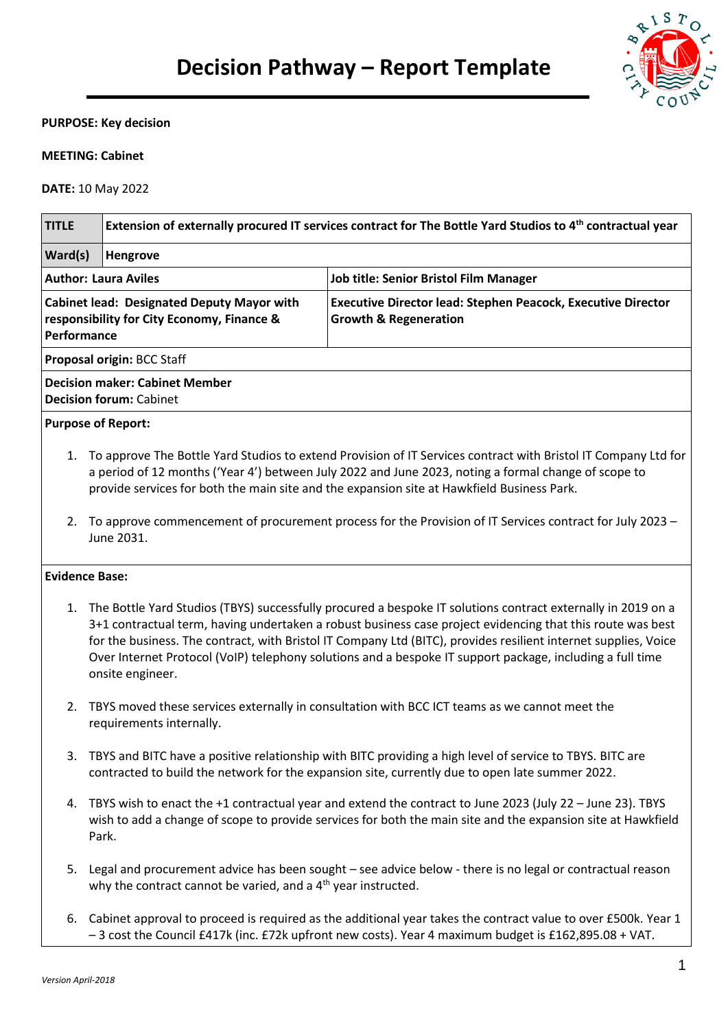

### **PURPOSE: Key decision**

### **MEETING: Cabinet**

**DATE:** 10 May 2022

| <b>TITLE</b>                                                                                                                                  | Extension of externally procured IT services contract for The Bottle Yard Studios to 4 <sup>th</sup> contractual year                                                                                                                                                                                                                                                                                                                                                          |                                                                                                                                                                                                             |  |  |                            |
|-----------------------------------------------------------------------------------------------------------------------------------------------|--------------------------------------------------------------------------------------------------------------------------------------------------------------------------------------------------------------------------------------------------------------------------------------------------------------------------------------------------------------------------------------------------------------------------------------------------------------------------------|-------------------------------------------------------------------------------------------------------------------------------------------------------------------------------------------------------------|--|--|----------------------------|
| Ward(s)                                                                                                                                       | Hengrove                                                                                                                                                                                                                                                                                                                                                                                                                                                                       |                                                                                                                                                                                                             |  |  |                            |
| <b>Author: Laura Aviles</b><br><b>Cabinet lead: Designated Deputy Mayor with</b><br>responsibility for City Economy, Finance &<br>Performance |                                                                                                                                                                                                                                                                                                                                                                                                                                                                                | Job title: Senior Bristol Film Manager<br>Executive Director lead: Stephen Peacock, Executive Director<br><b>Growth &amp; Regeneration</b>                                                                  |  |  |                            |
|                                                                                                                                               |                                                                                                                                                                                                                                                                                                                                                                                                                                                                                |                                                                                                                                                                                                             |  |  | Proposal origin: BCC Staff |
|                                                                                                                                               | <b>Decision maker: Cabinet Member</b><br><b>Decision forum: Cabinet</b>                                                                                                                                                                                                                                                                                                                                                                                                        |                                                                                                                                                                                                             |  |  |                            |
|                                                                                                                                               | <b>Purpose of Report:</b>                                                                                                                                                                                                                                                                                                                                                                                                                                                      |                                                                                                                                                                                                             |  |  |                            |
| 1.                                                                                                                                            | To approve The Bottle Yard Studios to extend Provision of IT Services contract with Bristol IT Company Ltd for<br>a period of 12 months ('Year 4') between July 2022 and June 2023, noting a formal change of scope to<br>provide services for both the main site and the expansion site at Hawkfield Business Park.                                                                                                                                                           |                                                                                                                                                                                                             |  |  |                            |
| 2.                                                                                                                                            | To approve commencement of procurement process for the Provision of IT Services contract for July 2023 -<br>June 2031.                                                                                                                                                                                                                                                                                                                                                         |                                                                                                                                                                                                             |  |  |                            |
|                                                                                                                                               | <b>Evidence Base:</b>                                                                                                                                                                                                                                                                                                                                                                                                                                                          |                                                                                                                                                                                                             |  |  |                            |
| 1.                                                                                                                                            | The Bottle Yard Studios (TBYS) successfully procured a bespoke IT solutions contract externally in 2019 on a<br>3+1 contractual term, having undertaken a robust business case project evidencing that this route was best<br>for the business. The contract, with Bristol IT Company Ltd (BITC), provides resilient internet supplies, Voice<br>Over Internet Protocol (VoIP) telephony solutions and a bespoke IT support package, including a full time<br>onsite engineer. |                                                                                                                                                                                                             |  |  |                            |
| 2.                                                                                                                                            | requirements internally.                                                                                                                                                                                                                                                                                                                                                                                                                                                       | TBYS moved these services externally in consultation with BCC ICT teams as we cannot meet the                                                                                                               |  |  |                            |
| 3.                                                                                                                                            |                                                                                                                                                                                                                                                                                                                                                                                                                                                                                | TBYS and BITC have a positive relationship with BITC providing a high level of service to TBYS. BITC are<br>contracted to build the network for the expansion site, currently due to open late summer 2022. |  |  |                            |
| 4.                                                                                                                                            |                                                                                                                                                                                                                                                                                                                                                                                                                                                                                | TBYS wish to enact the +1 contractual year and extend the contract to June 2023 (July 22 - June 23). TBYS                                                                                                   |  |  |                            |

5. Legal and procurement advice has been sought – see advice below - there is no legal or contractual reason why the contract cannot be varied, and a 4<sup>th</sup> year instructed.

wish to add a change of scope to provide services for both the main site and the expansion site at Hawkfield

6. Cabinet approval to proceed is required as the additional year takes the contract value to over £500k. Year 1 – 3 cost the Council £417k (inc. £72k upfront new costs). Year 4 maximum budget is £162,895.08 + VAT.

Park.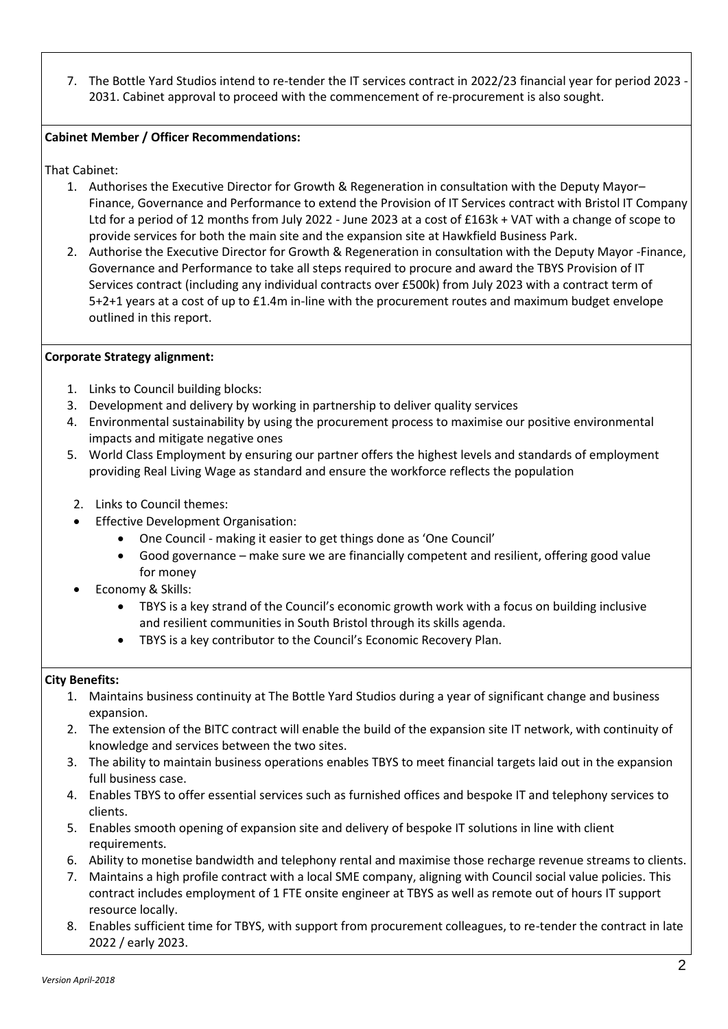7. The Bottle Yard Studios intend to re-tender the IT services contract in 2022/23 financial year for period 2023 - 2031. Cabinet approval to proceed with the commencement of re-procurement is also sought.

## **Cabinet Member / Officer Recommendations:**

That Cabinet:

- 1. Authorises the Executive Director for Growth & Regeneration in consultation with the Deputy Mayor– Finance, Governance and Performance to extend the Provision of IT Services contract with Bristol IT Company Ltd for a period of 12 months from July 2022 - June 2023 at a cost of £163k + VAT with a change of scope to provide services for both the main site and the expansion site at Hawkfield Business Park.
- 2. Authorise the Executive Director for Growth & Regeneration in consultation with the Deputy Mayor -Finance, Governance and Performance to take all steps required to procure and award the TBYS Provision of IT Services contract (including any individual contracts over £500k) from July 2023 with a contract term of 5+2+1 years at a cost of up to £1.4m in-line with the procurement routes and maximum budget envelope outlined in this report.

## **Corporate Strategy alignment:**

- 1. Links to Council building blocks:
- 3. Development and delivery by working in partnership to deliver quality services
- 4. Environmental sustainability by using the procurement process to maximise our positive environmental impacts and mitigate negative ones
- 5. World Class Employment by ensuring our partner offers the highest levels and standards of employment providing Real Living Wage as standard and ensure the workforce reflects the population
- 2. Links to Council themes:
- Effective Development Organisation:
	- One Council making it easier to get things done as 'One Council'
	- Good governance make sure we are financially competent and resilient, offering good value for money
- Economy & Skills:
	- TBYS is a key strand of the Council's economic growth work with a focus on building inclusive and resilient communities in South Bristol through its skills agenda.
	- TBYS is a key contributor to the Council's Economic Recovery Plan.

# **City Benefits:**

- 1. Maintains business continuity at The Bottle Yard Studios during a year of significant change and business expansion.
- 2. The extension of the BITC contract will enable the build of the expansion site IT network, with continuity of knowledge and services between the two sites.
- 3. The ability to maintain business operations enables TBYS to meet financial targets laid out in the expansion full business case.
- 4. Enables TBYS to offer essential services such as furnished offices and bespoke IT and telephony services to clients.
- 5. Enables smooth opening of expansion site and delivery of bespoke IT solutions in line with client requirements.
- 6. Ability to monetise bandwidth and telephony rental and maximise those recharge revenue streams to clients.
- 7. Maintains a high profile contract with a local SME company, aligning with Council social value policies. This contract includes employment of 1 FTE onsite engineer at TBYS as well as remote out of hours IT support resource locally.
- 8. Enables sufficient time for TBYS, with support from procurement colleagues, to re-tender the contract in late 2022 / early 2023.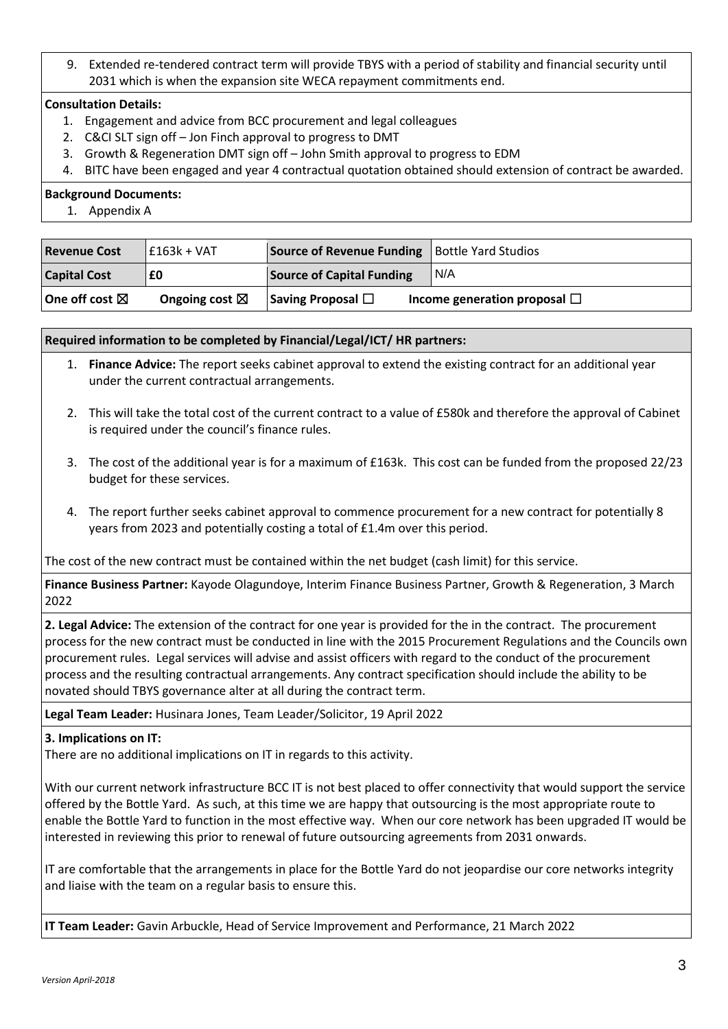9. Extended re-tendered contract term will provide TBYS with a period of stability and financial security until 2031 which is when the expansion site WECA repayment commitments end.

## **Consultation Details:**

- 1. Engagement and advice from BCC procurement and legal colleagues
- 2. C&CI SLT sign off Jon Finch approval to progress to DMT
- 3. Growth & Regeneration DMT sign off John Smith approval to progress to EDM
- 4. BITC have been engaged and year 4 contractual quotation obtained should extension of contract be awarded.

## **Background Documents:**

1. Appendix A

| <b>Revenue Cost</b>      | £163k + VAT              | <b>Source of Revenue Funding</b> | Bottle Yard Studios               |
|--------------------------|--------------------------|----------------------------------|-----------------------------------|
| <b>Capital Cost</b>      | £0                       | Source of Capital Funding        | IN/A                              |
| One off cost $\boxtimes$ | Ongoing cost $\boxtimes$ | Saving Proposal $\Box$           | Income generation proposal $\Box$ |

### **Required information to be completed by Financial/Legal/ICT/ HR partners:**

- 1. **Finance Advice:** The report seeks cabinet approval to extend the existing contract for an additional year under the current contractual arrangements.
- 2. This will take the total cost of the current contract to a value of £580k and therefore the approval of Cabinet is required under the council's finance rules.
- 3. The cost of the additional year is for a maximum of £163k. This cost can be funded from the proposed 22/23 budget for these services.
- 4. The report further seeks cabinet approval to commence procurement for a new contract for potentially 8 years from 2023 and potentially costing a total of £1.4m over this period.

The cost of the new contract must be contained within the net budget (cash limit) for this service.

**Finance Business Partner:** Kayode Olagundoye, Interim Finance Business Partner, Growth & Regeneration, 3 March 2022

**2. Legal Advice:** The extension of the contract for one year is provided for the in the contract. The procurement process for the new contract must be conducted in line with the 2015 Procurement Regulations and the Councils own procurement rules. Legal services will advise and assist officers with regard to the conduct of the procurement process and the resulting contractual arrangements. Any contract specification should include the ability to be novated should TBYS governance alter at all during the contract term.

**Legal Team Leader:** Husinara Jones, Team Leader/Solicitor, 19 April 2022

### **3. Implications on IT:**

There are no additional implications on IT in regards to this activity.

With our current network infrastructure BCC IT is not best placed to offer connectivity that would support the service offered by the Bottle Yard. As such, at this time we are happy that outsourcing is the most appropriate route to enable the Bottle Yard to function in the most effective way. When our core network has been upgraded IT would be interested in reviewing this prior to renewal of future outsourcing agreements from 2031 onwards.

IT are comfortable that the arrangements in place for the Bottle Yard do not jeopardise our core networks integrity and liaise with the team on a regular basis to ensure this.

**IT Team Leader:** Gavin Arbuckle, Head of Service Improvement and Performance, 21 March 2022